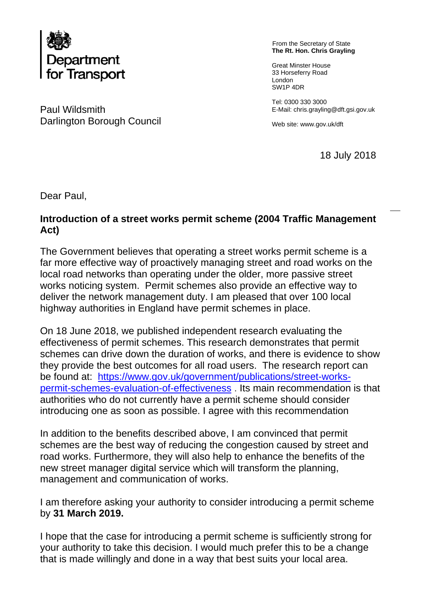

Paul Wildsmith E-Mail: chris.grayling@dft.gsi.gov.uk Darlington Borough Council Web site: www.gov.uk/dft

From the Secretary of State **The Rt. Hon. Chris Grayling** 

 33 Horseferry Road Great Minster House London SW1P 4DR

Tel: 0300 330 3000

18 July 2018

Dear Paul,

## **Introduction of a street works permit scheme (2004 Traffic Management Act)**

The Government believes that operating a street works permit scheme is a far more effective way of proactively managing street and road works on the local road networks than operating under the older, more passive street works noticing system. Permit schemes also provide an effective way to deliver the network management duty. I am pleased that over 100 local highway authorities in England have permit schemes in place.

On 18 June 2018, we published independent research evaluating the effectiveness of permit schemes. This research demonstrates that permit schemes can drive down the duration of works, and there is evidence to show they provide the best outcomes for all road users. The research report can be found at: [https://www.gov.uk/government/publications/street-works](https://www.gov.uk/government/publications/street-works-permit-schemes-evaluation-of-effectiveness)[permit-schemes-evaluation-of-effectiveness](https://www.gov.uk/government/publications/street-works-permit-schemes-evaluation-of-effectiveness) . Its main recommendation is that authorities who do not currently have a permit scheme should consider introducing one as soon as possible. I agree with this recommendation

In addition to the benefits described above, I am convinced that permit schemes are the best way of reducing the congestion caused by street and road works. Furthermore, they will also help to enhance the benefits of the new street manager digital service which will transform the planning, management and communication of works.

 by **31 March 2019.** I am therefore asking your authority to consider introducing a permit scheme

I hope that the case for introducing a permit scheme is sufficiently strong for your authority to take this decision. I would much prefer this to be a change that is made willingly and done in a way that best suits your local area.